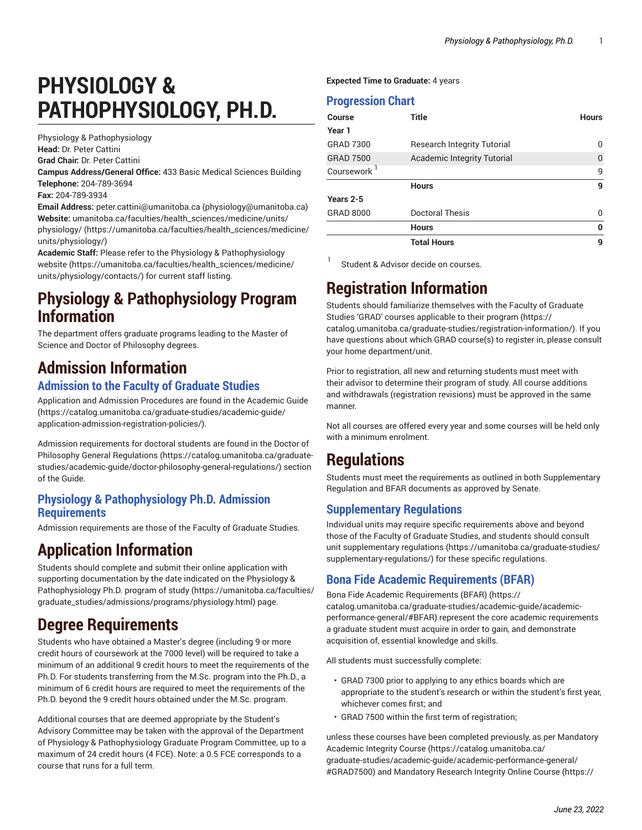# **PHYSIOLOGY & PATHOPHYSIOLOGY, PH.D.**

Physiology & Pathophysiology **Head:** Dr. Peter Cattini **Grad Chair:** Dr. Peter Cattini

**Campus Address/General Office:** 433 Basic Medical Sciences Building **Telephone:** 204-789-3694

**Fax:** 204-789-3934

**Email Address:** [peter.cattini@umanitoba.ca](mailto:physiology@umanitoba.ca) (<physiology@umanitoba.ca>) **Website:** [umanitoba.ca/faculties/health\\_sciences/medicine/units/](https://umanitoba.ca/faculties/health_sciences/medicine/units/physiology/) [physiology/](https://umanitoba.ca/faculties/health_sciences/medicine/units/physiology/) ([https://umanitoba.ca/faculties/health\\_sciences/medicine/](https://umanitoba.ca/faculties/health_sciences/medicine/units/physiology/) [units/physiology/\)](https://umanitoba.ca/faculties/health_sciences/medicine/units/physiology/)

**Academic Staff:** Please refer to the Physiology & [Pathophysiology](https://umanitoba.ca/faculties/health_sciences/medicine/units/physiology/contacts/) [website](https://umanitoba.ca/faculties/health_sciences/medicine/units/physiology/contacts/) ([https://umanitoba.ca/faculties/health\\_sciences/medicine/](https://umanitoba.ca/faculties/health_sciences/medicine/units/physiology/contacts/) [units/physiology/contacts/\)](https://umanitoba.ca/faculties/health_sciences/medicine/units/physiology/contacts/) for current staff listing.

### **Physiology & Pathophysiology Program Information**

The department offers graduate programs leading to the Master of Science and Doctor of Philosophy degrees.

# **Admission Information**

#### **Admission to the Faculty of Graduate Studies**

Application and Admission Procedures are found in the [Academic Guide](https://catalog.umanitoba.ca/graduate-studies/academic-guide/application-admission-registration-policies/) ([https://catalog.umanitoba.ca/graduate-studies/academic-guide/](https://catalog.umanitoba.ca/graduate-studies/academic-guide/application-admission-registration-policies/) [application-admission-registration-policies/](https://catalog.umanitoba.ca/graduate-studies/academic-guide/application-admission-registration-policies/)).

Admission requirements for doctoral students are found in the [Doctor of](https://catalog.umanitoba.ca/graduate-studies/academic-guide/doctor-philosophy-general-regulations/) [Philosophy General Regulations \(https://catalog.umanitoba.ca/graduate](https://catalog.umanitoba.ca/graduate-studies/academic-guide/doctor-philosophy-general-regulations/)[studies/academic-guide/doctor-philosophy-general-regulations/\)](https://catalog.umanitoba.ca/graduate-studies/academic-guide/doctor-philosophy-general-regulations/) section of the Guide.

#### **Physiology & Pathophysiology Ph.D. Admission Requirements**

Admission requirements are those of the Faculty of Graduate Studies.

### **Application Information**

Students should complete and submit their online application with supporting documentation by the date indicated on the [Physiology &](https://umanitoba.ca/faculties/graduate_studies/admissions/programs/physiology.html) [Pathophysiology](https://umanitoba.ca/faculties/graduate_studies/admissions/programs/physiology.html) Ph.D. program of study [\(https://umanitoba.ca/faculties/](https://umanitoba.ca/faculties/graduate_studies/admissions/programs/physiology.html) [graduate\\_studies/admissions/programs/physiology.html](https://umanitoba.ca/faculties/graduate_studies/admissions/programs/physiology.html)) page.

# **Degree Requirements**

Students who have obtained a Master's degree (including 9 or more credit hours of coursework at the 7000 level) will be required to take a minimum of an additional 9 credit hours to meet the requirements of the Ph.D. For students transferring from the M.Sc. program into the Ph.D., a minimum of 6 credit hours are required to meet the requirements of the Ph.D. beyond the 9 credit hours obtained under the M.Sc. program.

Additional courses that are deemed appropriate by the Student's Advisory Committee may be taken with the approval of the Department of Physiology & Pathophysiology Graduate Program Committee, up to a maximum of 24 credit hours (4 FCE). Note: a 0.5 FCE corresponds to a course that runs for a full term.

**Expected Time to Graduate:** 4 years

#### **Progression Chart**

| Course           | <b>Title</b>                       | <b>Hours</b> |
|------------------|------------------------------------|--------------|
| Year 1           |                                    |              |
| <b>GRAD 7300</b> | <b>Research Integrity Tutorial</b> | <sup>0</sup> |
| <b>GRAD 7500</b> | Academic Integrity Tutorial        | $\theta$     |
| Coursework '     |                                    | 9            |
|                  | <b>Hours</b>                       | 9            |
| Years 2-5        |                                    |              |
| <b>GRAD 8000</b> | Doctoral Thesis                    | 0            |
|                  | <b>Hours</b>                       | $\bf{0}$     |
|                  | <b>Total Hours</b>                 |              |

1 Student & Advisor decide on courses.

# **Registration Information**

Students should familiarize themselves with the Faculty of Graduate Studies 'GRAD' courses [applicable](https://catalog.umanitoba.ca/graduate-studies/registration-information/) to their program [\(https://](https://catalog.umanitoba.ca/graduate-studies/registration-information/) [catalog.umanitoba.ca/graduate-studies/registration-information/\)](https://catalog.umanitoba.ca/graduate-studies/registration-information/). If you have questions about which GRAD course(s) to register in, please consult your home department/unit.

Prior to registration, all new and returning students must meet with their advisor to determine their program of study. All course additions and withdrawals (registration revisions) must be approved in the same manner.

Not all courses are offered every year and some courses will be held only with a minimum enrolment.

# **Regulations**

Students must meet the requirements as outlined in both Supplementary Regulation and BFAR documents as approved by Senate.

#### **Supplementary Regulations**

Individual units may require specific requirements above and beyond those of the Faculty of Graduate Studies, and students should consult unit [supplementary](https://umanitoba.ca/graduate-studies/supplementary-regulations/) regulations [\(https://umanitoba.ca/graduate-studies/](https://umanitoba.ca/graduate-studies/supplementary-regulations/) [supplementary-regulations/](https://umanitoba.ca/graduate-studies/supplementary-regulations/)) for these specific regulations.

#### **Bona Fide Academic Requirements (BFAR)**

Bona Fide Academic [Requirements](https://catalog.umanitoba.ca/graduate-studies/academic-guide/academic-performance-general/#BFAR) (BFAR) [\(https://](https://catalog.umanitoba.ca/graduate-studies/academic-guide/academic-performance-general/#BFAR) [catalog.umanitoba.ca/graduate-studies/academic-guide/academic](https://catalog.umanitoba.ca/graduate-studies/academic-guide/academic-performance-general/#BFAR)[performance-general/#BFAR\)](https://catalog.umanitoba.ca/graduate-studies/academic-guide/academic-performance-general/#BFAR) represent the core academic requirements a graduate student must acquire in order to gain, and demonstrate acquisition of, essential knowledge and skills.

All students must successfully complete:

- GRAD 7300 prior to applying to any ethics boards which are appropriate to the student's research or within the student's first year, whichever comes first; and
- GRAD 7500 within the first term of registration;

unless these courses have been completed previously, as per [Mandatory](https://catalog.umanitoba.ca/graduate-studies/academic-guide/academic-performance-general/#GRAD7500) [Academic Integrity Course](https://catalog.umanitoba.ca/graduate-studies/academic-guide/academic-performance-general/#GRAD7500) ([https://catalog.umanitoba.ca/](https://catalog.umanitoba.ca/graduate-studies/academic-guide/academic-performance-general/#GRAD7500) [graduate-studies/academic-guide/academic-performance-general/](https://catalog.umanitoba.ca/graduate-studies/academic-guide/academic-performance-general/#GRAD7500) [#GRAD7500\)](https://catalog.umanitoba.ca/graduate-studies/academic-guide/academic-performance-general/#GRAD7500) and [Mandatory](https://catalog.umanitoba.ca/graduate-studies/academic-guide/academic-performance-general/#GRAD7300) Research Integrity Online Course ([https://](https://catalog.umanitoba.ca/graduate-studies/academic-guide/academic-performance-general/#GRAD7300)